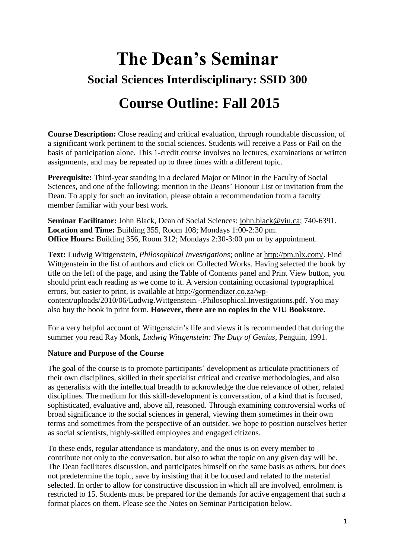# **The Dean's Seminar Social Sciences Interdisciplinary: SSID 300**

# **Course Outline: Fall 2015**

**Course Description:** Close reading and critical evaluation, through roundtable discussion, of a significant work pertinent to the social sciences. Students will receive a Pass or Fail on the basis of participation alone. This 1-credit course involves no lectures, examinations or written assignments, and may be repeated up to three times with a different topic.

**Prerequisite:** Third-year standing in a declared Major or Minor in the Faculty of Social Sciences, and one of the following: mention in the Deans' Honour List or invitation from the Dean. To apply for such an invitation, please obtain a recommendation from a faculty member familiar with your best work.

**Seminar Facilitator:** John Black, Dean of Social Sciences: [john.black@viu.ca;](mailto:john.black@viu.ca) 740-6391. **Location and Time:** Building 355, Room 108; Mondays 1:00-2:30 pm. **Office Hours:** Building 356, Room 312; Mondays 2:30-3:00 pm or by appointment.

**Text:** Ludwig Wittgenstein, *Philosophical Investigations*; online at [http://pm.nlx.com/.](http://pm.nlx.com/) Find Wittgenstein in the list of authors and click on Collected Works. Having selected the book by title on the left of the page, and using the Table of Contents panel and Print View button, you should print each reading as we come to it. A version containing occasional typographical errors, but easier to print, is available at [http://gormendizer.co.za/wp](http://gormendizer.co.za/wp-content/uploads/2010/06/Ludwig.Wittgenstein.-.Philosophical.Investigations.pdf)[content/uploads/2010/06/Ludwig.Wittgenstein.-.Philosophical.Investigations.pdf.](http://gormendizer.co.za/wp-content/uploads/2010/06/Ludwig.Wittgenstein.-.Philosophical.Investigations.pdf) You may also buy the book in print form. **However, there are no copies in the VIU Bookstore.**

For a very helpful account of Wittgenstein's life and views it is recommended that during the summer you read Ray Monk, *Ludwig Wittgenstein: The Duty of Genius*, Penguin, 1991.

### **Nature and Purpose of the Course**

The goal of the course is to promote participants' development as articulate practitioners of their own disciplines, skilled in their specialist critical and creative methodologies, and also as generalists with the intellectual breadth to acknowledge the due relevance of other, related disciplines. The medium for this skill-development is conversation, of a kind that is focused, sophisticated, evaluative and, above all, reasoned. Through examining controversial works of broad significance to the social sciences in general, viewing them sometimes in their own terms and sometimes from the perspective of an outsider, we hope to position ourselves better as social scientists, highly-skilled employees and engaged citizens.

To these ends, regular attendance is mandatory, and the onus is on every member to contribute not only to the conversation, but also to what the topic on any given day will be. The Dean facilitates discussion, and participates himself on the same basis as others, but does not predetermine the topic, save by insisting that it be focused and related to the material selected. In order to allow for constructive discussion in which all are involved, enrolment is restricted to 15. Students must be prepared for the demands for active engagement that such a format places on them. Please see the Notes on Seminar Participation below.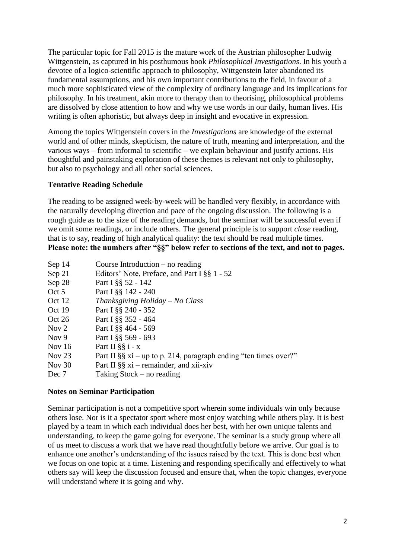The particular topic for Fall 2015 is the mature work of the Austrian philosopher Ludwig Wittgenstein, as captured in his posthumous book *Philosophical Investigations*. In his youth a devotee of a logico-scientific approach to philosophy, Wittgenstein later abandoned its fundamental assumptions, and his own important contributions to the field, in favour of a much more sophisticated view of the complexity of ordinary language and its implications for philosophy. In his treatment, akin more to therapy than to theorising, philosophical problems are dissolved by close attention to how and why we use words in our daily, human lives. His writing is often aphoristic, but always deep in insight and evocative in expression.

Among the topics Wittgenstein covers in the *Investigations* are knowledge of the external world and of other minds, skepticism, the nature of truth, meaning and interpretation, and the various ways – from informal to scientific – we explain behaviour and justify actions. His thoughtful and painstaking exploration of these themes is relevant not only to philosophy, but also to psychology and all other social sciences.

### **Tentative Reading Schedule**

The reading to be assigned week-by-week will be handled very flexibly, in accordance with the naturally developing direction and pace of the ongoing discussion. The following is a rough guide as to the size of the reading demands, but the seminar will be successful even if we omit some readings, or include others. The general principle is to support *close* reading, that is to say, reading of high analytical quality: the text should be read multiple times. **Please note: the numbers after "§§" below refer to sections of the text, and not to pages.**

| Sep 14   | Course Introduction $-$ no reading                                 |
|----------|--------------------------------------------------------------------|
| Sep 21   | Editors' Note, Preface, and Part I §§ 1 - 52                       |
| Sep 28   | Part I §§ 52 - 142                                                 |
| Oct 5    | Part I §§ 142 - 240                                                |
| Oct 12   | Thanksgiving Holiday - No Class                                    |
| Oct 19   | Part I §§ 240 - 352                                                |
| Oct $26$ | Part I §§ 352 - 464                                                |
| Nov $2$  | Part I §§ 464 - 569                                                |
| Nov $9$  | Part I §§ 569 - 693                                                |
| Nov $16$ | Part II $\S$ § i - x                                               |
| Nov $23$ | Part II §§ $xi$ – up to p. 214, paragraph ending "ten times over?" |
| Nov $30$ | Part II §§ $xi$ – remainder, and xii-xiv                           |
| Dec 7    | Taking Stock – no reading                                          |

### **Notes on Seminar Participation**

Seminar participation is not a competitive sport wherein some individuals win only because others lose. Nor is it a spectator sport where most enjoy watching while others play. It is best played by a team in which each individual does her best, with her own unique talents and understanding, to keep the game going for everyone. The seminar is a study group where all of us meet to discuss a work that we have read thoughtfully before we arrive. Our goal is to enhance one another's understanding of the issues raised by the text. This is done best when we focus on one topic at a time. Listening and responding specifically and effectively to what others say will keep the discussion focused and ensure that, when the topic changes, everyone will understand where it is going and why.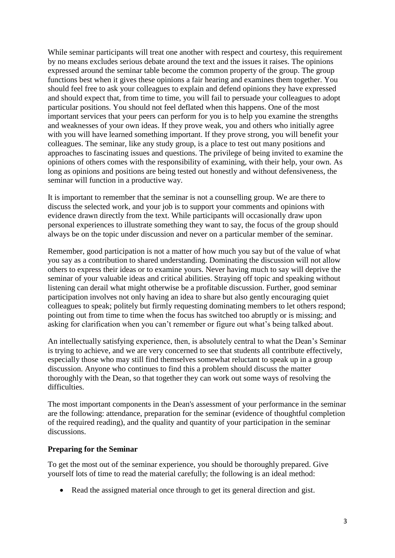While seminar participants will treat one another with respect and courtesy, this requirement by no means excludes serious debate around the text and the issues it raises. The opinions expressed around the seminar table become the common property of the group. The group functions best when it gives these opinions a fair hearing and examines them together. You should feel free to ask your colleagues to explain and defend opinions they have expressed and should expect that, from time to time, you will fail to persuade your colleagues to adopt particular positions. You should not feel deflated when this happens. One of the most important services that your peers can perform for you is to help you examine the strengths and weaknesses of your own ideas. If they prove weak, you and others who initially agree with you will have learned something important. If they prove strong, you will benefit your colleagues. The seminar, like any study group, is a place to test out many positions and approaches to fascinating issues and questions. The privilege of being invited to examine the opinions of others comes with the responsibility of examining, with their help, your own. As long as opinions and positions are being tested out honestly and without defensiveness, the seminar will function in a productive way.

It is important to remember that the seminar is not a counselling group. We are there to discuss the selected work, and your job is to support your comments and opinions with evidence drawn directly from the text. While participants will occasionally draw upon personal experiences to illustrate something they want to say, the focus of the group should always be on the topic under discussion and never on a particular member of the seminar.

Remember, good participation is not a matter of how much you say but of the value of what you say as a contribution to shared understanding. Dominating the discussion will not allow others to express their ideas or to examine yours. Never having much to say will deprive the seminar of your valuable ideas and critical abilities. Straying off topic and speaking without listening can derail what might otherwise be a profitable discussion. Further, good seminar participation involves not only having an idea to share but also gently encouraging quiet colleagues to speak; politely but firmly requesting dominating members to let others respond; pointing out from time to time when the focus has switched too abruptly or is missing; and asking for clarification when you can't remember or figure out what's being talked about.

An intellectually satisfying experience, then, is absolutely central to what the Dean's Seminar is trying to achieve, and we are very concerned to see that students all contribute effectively, especially those who may still find themselves somewhat reluctant to speak up in a group discussion. Anyone who continues to find this a problem should discuss the matter thoroughly with the Dean, so that together they can work out some ways of resolving the difficulties.

The most important components in the Dean's assessment of your performance in the seminar are the following: attendance, preparation for the seminar (evidence of thoughtful completion of the required reading), and the quality and quantity of your participation in the seminar discussions.

#### **Preparing for the Seminar**

To get the most out of the seminar experience, you should be thoroughly prepared. Give yourself lots of time to read the material carefully; the following is an ideal method:

• Read the assigned material once through to get its general direction and gist.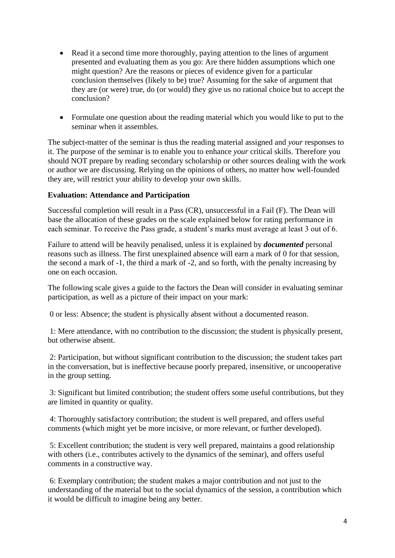- Read it a second time more thoroughly, paying attention to the lines of argument presented and evaluating them as you go: Are there hidden assumptions which one might question? Are the reasons or pieces of evidence given for a particular conclusion themselves (likely to be) true? Assuming for the sake of argument that they are (or were) true, do (or would) they give us no rational choice but to accept the conclusion?
- Formulate one question about the reading material which you would like to put to the seminar when it assembles.

The subject-matter of the seminar is thus the reading material assigned and *your* responses to it. The purpose of the seminar is to enable you to enhance *your* critical skills. Therefore you should NOT prepare by reading secondary scholarship or other sources dealing with the work or author we are discussing. Relying on the opinions of others, no matter how well-founded they are, will restrict your ability to develop your own skills.

#### **Evaluation: Attendance and Participation**

Successful completion will result in a Pass (CR), unsuccessful in a Fail (F). The Dean will base the allocation of these grades on the scale explained below for rating performance in each seminar. To receive the Pass grade, a student's marks must average at least 3 out of 6.

Failure to attend will be heavily penalised, unless it is explained by *documented* personal reasons such as illness. The first unexplained absence will earn a mark of 0 for that session, the second a mark of -1, the third a mark of -2, and so forth, with the penalty increasing by one on each occasion.

The following scale gives a guide to the factors the Dean will consider in evaluating seminar participation, as well as a picture of their impact on your mark:

0 or less: Absence; the student is physically absent without a documented reason.

1: Mere attendance, with no contribution to the discussion; the student is physically present, but otherwise absent.

2: Participation, but without significant contribution to the discussion; the student takes part in the conversation, but is ineffective because poorly prepared, insensitive, or uncooperative in the group setting.

3: Significant but limited contribution; the student offers some useful contributions, but they are limited in quantity or quality.

4: Thoroughly satisfactory contribution; the student is well prepared, and offers useful comments (which might yet be more incisive, or more relevant, or further developed).

5: Excellent contribution; the student is very well prepared, maintains a good relationship with others (i.e., contributes actively to the dynamics of the seminar), and offers useful comments in a constructive way.

6: Exemplary contribution; the student makes a major contribution and not just to the understanding of the material but to the social dynamics of the session, a contribution which it would be difficult to imagine being any better.